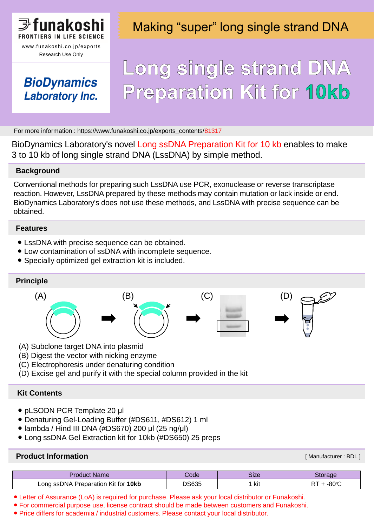

Research Use Only

### **BioDynamics Laboratory Inc.**

### Making "super" long single strand DNA

# Long single strand DNA **Preparation Kit for 10kb**

For more information : https://www.funakoshi.co.jp/exports\_contents/81317

BioDynamics Laboratory's novel Long ssDNA Preparation Kit for 10 kb enables to make 3 to 10 kb of long single strand DNA (LssDNA) by simple method.

### **Background**

Conventional methods for preparing such LssDNA use PCR, exonuclease or reverse transcriptase reaction. However, LssDNA prepared by these methods may contain mutation or lack inside or end. BioDynamics Laboratory's does not use these methods, and LssDNA with precise sequence can be obtained.

#### **Features**

- LssDNA with precise sequence can be obtained.
- Low contamination of ssDNA with incomplete sequence.
- Specially optimized gel extraction kit is included.

### **Principle**



- (A) Subclone target DNA into plasmid
- (B) Digest the vector with nicking enzyme
- (C) Electrophoresis under denaturing condition
- (D) Excise gel and purify it with the special column provided in the kit

### **Kit Contents**

- pLSODN PCR Template 20 μl
- Denaturing Gel-Loading Buffer (#DS611, #DS612) 1 ml
- $\bullet$  lambda / Hind III DNA (#DS670) 200 μl (25 ng/μl)
- Long ssDNA Gel Extraction kit for 10kb (#DS650) 25 preps

### **Product Information**

[ Manufacturer : BDL ]

| <b>Product Name</b>                 | Code  | Size |              |
|-------------------------------------|-------|------|--------------|
| Long ssDNA Preparation Kit for 10kb | DS635 | kit  | റേഹ<br>-ou v |

● Letter of Assurance (LoA) is required for purchase. Please ask your local distributor or Funakoshi.

● For commercial purpose use, license contract should be made between customers and Funakoshi.

● Price differs for academia / industrial customers. Please contact your local distributor.